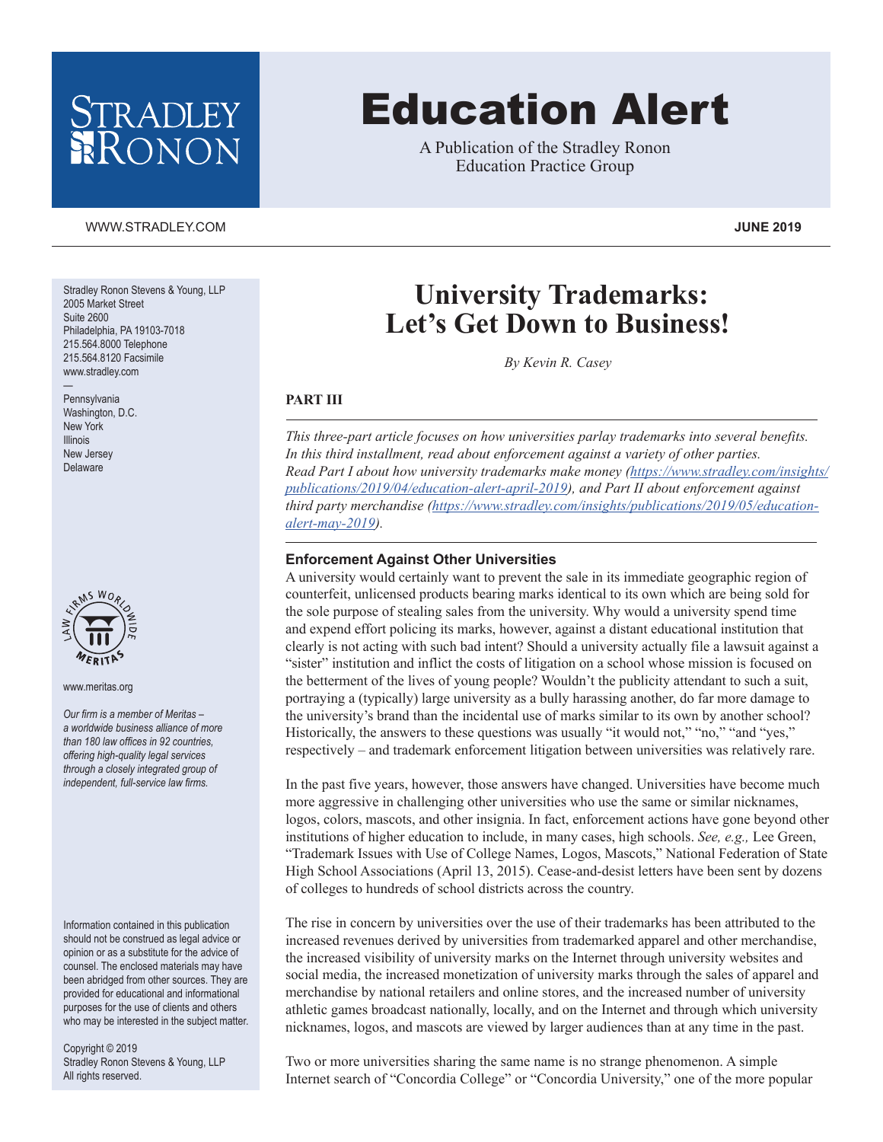## STRADLEY RONON

# Education Alert

A Publication of the Stradley Ronon Education Practice Group

#### [WWW.STRADLEY.COM](www.stradley.com) **JUNE 2019**

Stradley Ronon Stevens & Young, LLP 2005 Market Street Suite 2600 Philadelphia, PA 19103-7018 215.564.8000 Telephone 215.564.8120 Facsimile www.stradley.com

Pennsylvania Washington, D.C. New York Illinois New Jersey Delaware

—



www.meritas.org

*Our firm is a member of Meritas – a worldwide business alliance of more than 180 law offices in 92 countries, offering high-quality legal services through a closely integrated group of independent, full-service law firms.*

Information contained in this publication should not be construed as legal advice or opinion or as a substitute for the advice of counsel. The enclosed materials may have been abridged from other sources. They are provided for educational and informational purposes for the use of clients and others who may be interested in the subject matter.

Copyright © 2019 Stradley Ronon Stevens & Young, LLP All rights reserved.

### **University Trademarks: Let's Get Down to Business!**

*By Kevin R. Casey*

#### **PART III**

*This three-part article focuses on how universities parlay trademarks into several benefits. In this third installment, read about enforcement against a variety of other parties. Read Part I about how university trademarks make money [\(https://www.stradley.com/insights/](https://www.stradley.com/insights/publications/2019/04/education-alert-april-2019) [publications/2019/04/education-alert-april-2019\)](https://www.stradley.com/insights/publications/2019/04/education-alert-april-2019), and Part II about enforcement against third party merchandise ([https://www.stradley.com/insights/publications/2019/05/education](https://www.stradley.com/insights/publications/2019/05/education-alert-may-2019)[alert-may-2019](https://www.stradley.com/insights/publications/2019/05/education-alert-may-2019)).*

#### **Enforcement Against Other Universities**

A university would certainly want to prevent the sale in its immediate geographic region of counterfeit, unlicensed products bearing marks identical to its own which are being sold for the sole purpose of stealing sales from the university. Why would a university spend time and expend effort policing its marks, however, against a distant educational institution that clearly is not acting with such bad intent? Should a university actually file a lawsuit against a "sister" institution and inflict the costs of litigation on a school whose mission is focused on the betterment of the lives of young people? Wouldn't the publicity attendant to such a suit, portraying a (typically) large university as a bully harassing another, do far more damage to the university's brand than the incidental use of marks similar to its own by another school? Historically, the answers to these questions was usually "it would not," "no," "and "yes," respectively – and trademark enforcement litigation between universities was relatively rare.

In the past five years, however, those answers have changed. Universities have become much more aggressive in challenging other universities who use the same or similar nicknames, logos, colors, mascots, and other insignia. In fact, enforcement actions have gone beyond other institutions of higher education to include, in many cases, high schools. *See, e.g.,* Lee Green, "Trademark Issues with Use of College Names, Logos, Mascots," National Federation of State High School Associations (April 13, 2015). Cease-and-desist letters have been sent by dozens of colleges to hundreds of school districts across the country.

The rise in concern by universities over the use of their trademarks has been attributed to the increased revenues derived by universities from trademarked apparel and other merchandise, the increased visibility of university marks on the Internet through university websites and social media, the increased monetization of university marks through the sales of apparel and merchandise by national retailers and online stores, and the increased number of university athletic games broadcast nationally, locally, and on the Internet and through which university nicknames, logos, and mascots are viewed by larger audiences than at any time in the past.

Two or more universities sharing the same name is no strange phenomenon. A simple Internet search of "Concordia College" or "Concordia University," one of the more popular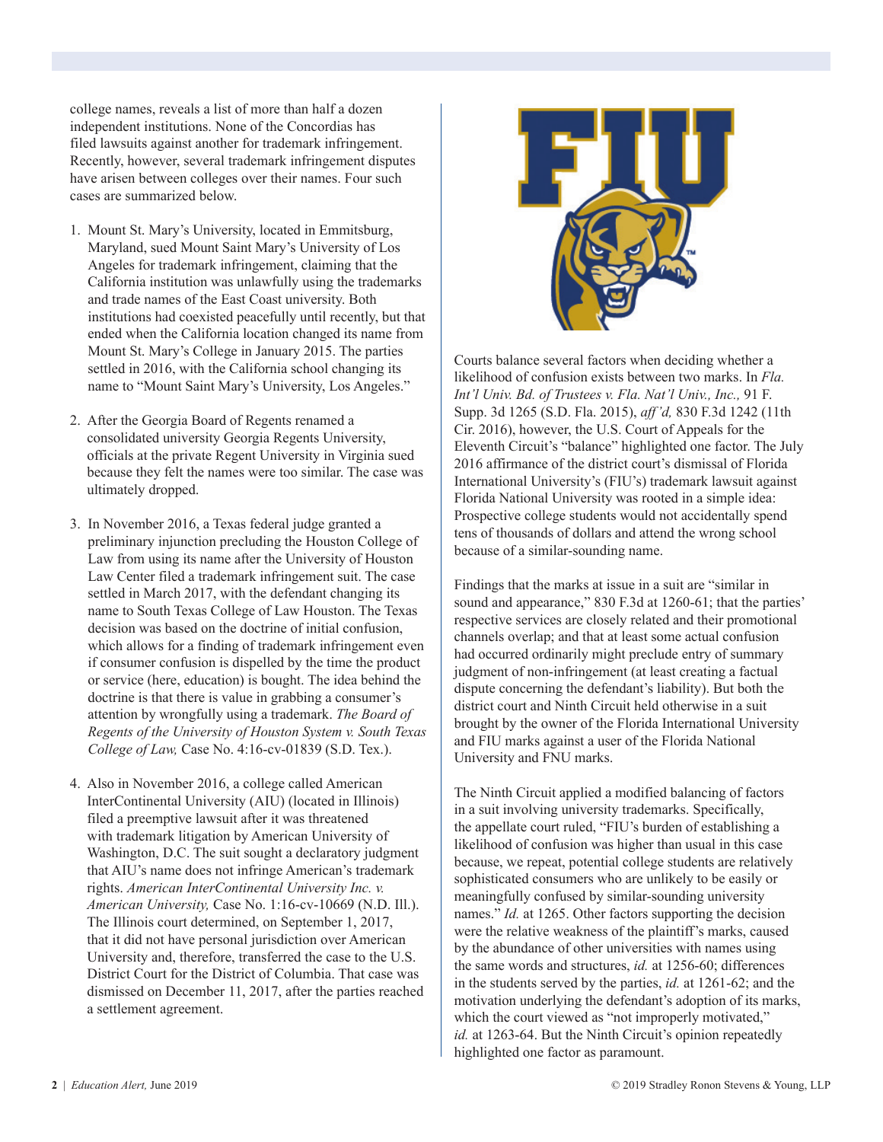college names, reveals a list of more than half a dozen independent institutions. None of the Concordias has filed lawsuits against another for trademark infringement. Recently, however, several trademark infringement disputes have arisen between colleges over their names. Four such cases are summarized below.

- 1. Mount St. Mary's University, located in Emmitsburg, Maryland, sued Mount Saint Mary's University of Los Angeles for trademark infringement, claiming that the California institution was unlawfully using the trademarks and trade names of the East Coast university. Both institutions had coexisted peacefully until recently, but that ended when the California location changed its name from Mount St. Mary's College in January 2015. The parties settled in 2016, with the California school changing its name to "Mount Saint Mary's University, Los Angeles."
- 2. After the Georgia Board of Regents renamed a consolidated university Georgia Regents University, officials at the private Regent University in Virginia sued because they felt the names were too similar. The case was ultimately dropped.
- 3. In November 2016, a Texas federal judge granted a preliminary injunction precluding the Houston College of Law from using its name after the University of Houston Law Center filed a trademark infringement suit. The case settled in March 2017, with the defendant changing its name to South Texas College of Law Houston. The Texas decision was based on the doctrine of initial confusion, which allows for a finding of trademark infringement even if consumer confusion is dispelled by the time the product or service (here, education) is bought. The idea behind the doctrine is that there is value in grabbing a consumer's attention by wrongfully using a trademark. *The Board of Regents of the University of Houston System v. South Texas College of Law,* Case No. 4:16-cv-01839 (S.D. Tex.).
- 4. Also in November 2016, a college called American InterContinental University (AIU) (located in Illinois) filed a preemptive lawsuit after it was threatened with trademark litigation by American University of Washington, D.C. The suit sought a declaratory judgment that AIU's name does not infringe American's trademark rights. *American InterContinental University Inc. v. American University,* Case No. 1:16-cv-10669 (N.D. Ill.). The Illinois court determined, on September 1, 2017, that it did not have personal jurisdiction over American University and, therefore, transferred the case to the U.S. District Court for the District of Columbia. That case was dismissed on December 11, 2017, after the parties reached a settlement agreement.



Courts balance several factors when deciding whether a likelihood of confusion exists between two marks. In *Fla. Int'l Univ. Bd. of Trustees v. Fla. Nat'l Univ., Inc.,* 91 F. Supp. 3d 1265 (S.D. Fla. 2015), *aff'd,* 830 F.3d 1242 (11th Cir. 2016), however, the U.S. Court of Appeals for the Eleventh Circuit's "balance" highlighted one factor. The July 2016 affirmance of the district court's dismissal of Florida International University's (FIU's) trademark lawsuit against Florida National University was rooted in a simple idea: Prospective college students would not accidentally spend tens of thousands of dollars and attend the wrong school because of a similar-sounding name.

Findings that the marks at issue in a suit are "similar in sound and appearance," 830 F.3d at 1260-61; that the parties' respective services are closely related and their promotional channels overlap; and that at least some actual confusion had occurred ordinarily might preclude entry of summary judgment of non-infringement (at least creating a factual dispute concerning the defendant's liability). But both the district court and Ninth Circuit held otherwise in a suit brought by the owner of the Florida International University and FIU marks against a user of the Florida National University and FNU marks.

The Ninth Circuit applied a modified balancing of factors in a suit involving university trademarks. Specifically, the appellate court ruled, "FIU's burden of establishing a likelihood of confusion was higher than usual in this case because, we repeat, potential college students are relatively sophisticated consumers who are unlikely to be easily or meaningfully confused by similar-sounding university names." *Id.* at 1265. Other factors supporting the decision were the relative weakness of the plaintiff's marks, caused by the abundance of other universities with names using the same words and structures, *id.* at 1256-60; differences in the students served by the parties, *id.* at 1261-62; and the motivation underlying the defendant's adoption of its marks, which the court viewed as "not improperly motivated," *id.* at 1263-64. But the Ninth Circuit's opinion repeatedly highlighted one factor as paramount.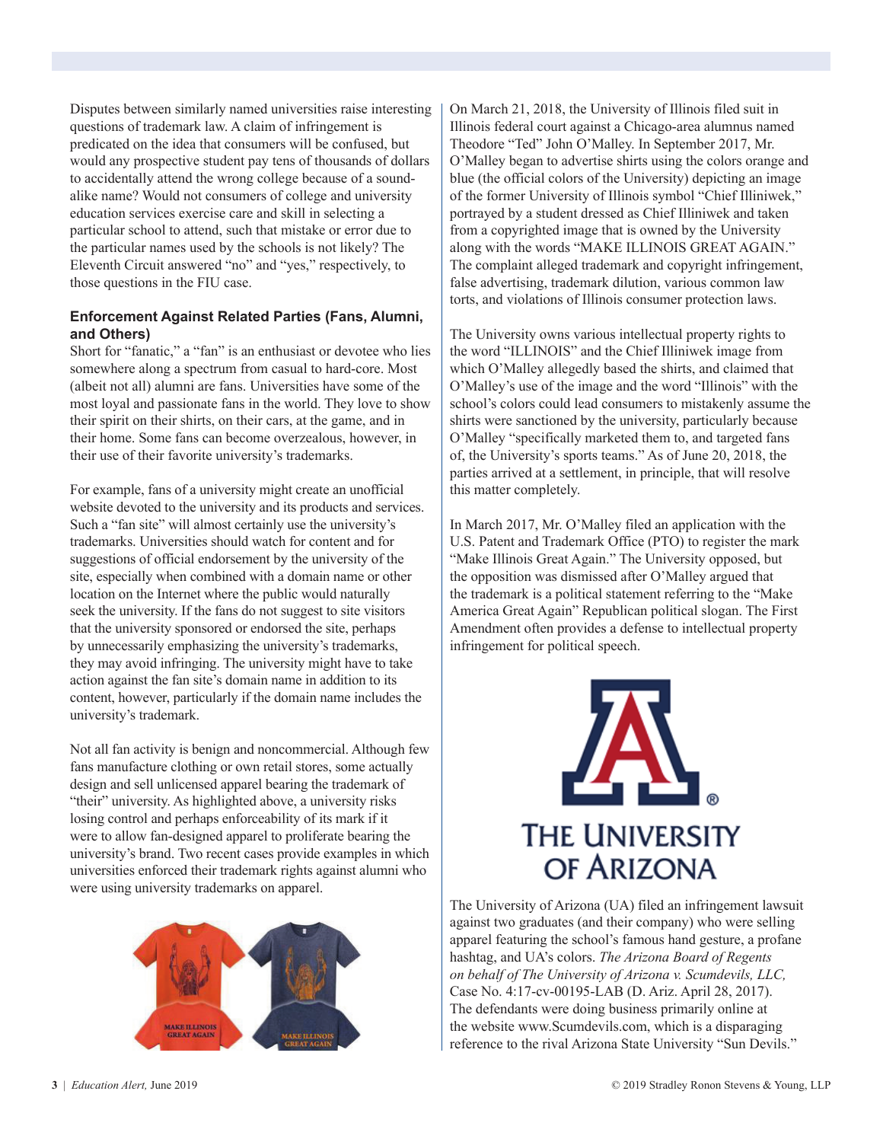Disputes between similarly named universities raise interesting questions of trademark law. A claim of infringement is predicated on the idea that consumers will be confused, but would any prospective student pay tens of thousands of dollars to accidentally attend the wrong college because of a soundalike name? Would not consumers of college and university education services exercise care and skill in selecting a particular school to attend, such that mistake or error due to the particular names used by the schools is not likely? The Eleventh Circuit answered "no" and "yes," respectively, to those questions in the FIU case.

#### **Enforcement Against Related Parties (Fans, Alumni, and Others)**

Short for "fanatic," a "fan" is an enthusiast or devotee who lies somewhere along a spectrum from casual to hard-core. Most (albeit not all) alumni are fans. Universities have some of the most loyal and passionate fans in the world. They love to show their spirit on their shirts, on their cars, at the game, and in their home. Some fans can become overzealous, however, in their use of their favorite university's trademarks.

For example, fans of a university might create an unofficial website devoted to the university and its products and services. Such a "fan site" will almost certainly use the university's trademarks. Universities should watch for content and for suggestions of official endorsement by the university of the site, especially when combined with a domain name or other location on the Internet where the public would naturally seek the university. If the fans do not suggest to site visitors that the university sponsored or endorsed the site, perhaps by unnecessarily emphasizing the university's trademarks, they may avoid infringing. The university might have to take action against the fan site's domain name in addition to its content, however, particularly if the domain name includes the university's trademark.

Not all fan activity is benign and noncommercial. Although few fans manufacture clothing or own retail stores, some actually design and sell unlicensed apparel bearing the trademark of "their" university. As highlighted above, a university risks losing control and perhaps enforceability of its mark if it were to allow fan-designed apparel to proliferate bearing the university's brand. Two recent cases provide examples in which universities enforced their trademark rights against alumni who were using university trademarks on apparel.



On March 21, 2018, the University of Illinois filed suit in Illinois federal court against a Chicago-area alumnus named Theodore "Ted" John O'Malley. In September 2017, Mr. O'Malley began to advertise shirts using the colors orange and blue (the official colors of the University) depicting an image of the former University of Illinois symbol "Chief Illiniwek," portrayed by a student dressed as Chief Illiniwek and taken from a copyrighted image that is owned by the University along with the words "MAKE ILLINOIS GREAT AGAIN." The complaint alleged trademark and copyright infringement, false advertising, trademark dilution, various common law torts, and violations of Illinois consumer protection laws.

The University owns various intellectual property rights to the word "ILLINOIS" and the Chief Illiniwek image from which O'Malley allegedly based the shirts, and claimed that O'Malley's use of the image and the word "Illinois" with the school's colors could lead consumers to mistakenly assume the shirts were sanctioned by the university, particularly because O'Malley "specifically marketed them to, and targeted fans of, the University's sports teams." As of June 20, 2018, the parties arrived at a settlement, in principle, that will resolve this matter completely.

In March 2017, Mr. O'Malley filed an application with the U.S. Patent and Trademark Office (PTO) to register the mark "Make Illinois Great Again." The University opposed, but the opposition was dismissed after O'Malley argued that the trademark is a political statement referring to the "Make America Great Again" Republican political slogan. The First Amendment often provides a defense to intellectual property infringement for political speech.



The University of Arizona (UA) filed an infringement lawsuit against two graduates (and their company) who were selling apparel featuring the school's famous hand gesture, a profane hashtag, and UA's colors. *The Arizona Board of Regents on behalf of The University of Arizona v. Scumdevils, LLC,* Case No. 4:17-cv-00195-LAB (D. Ariz. April 28, 2017). The defendants were doing business primarily online at the website www.Scumdevils.com, which is a disparaging reference to the rival Arizona State University "Sun Devils."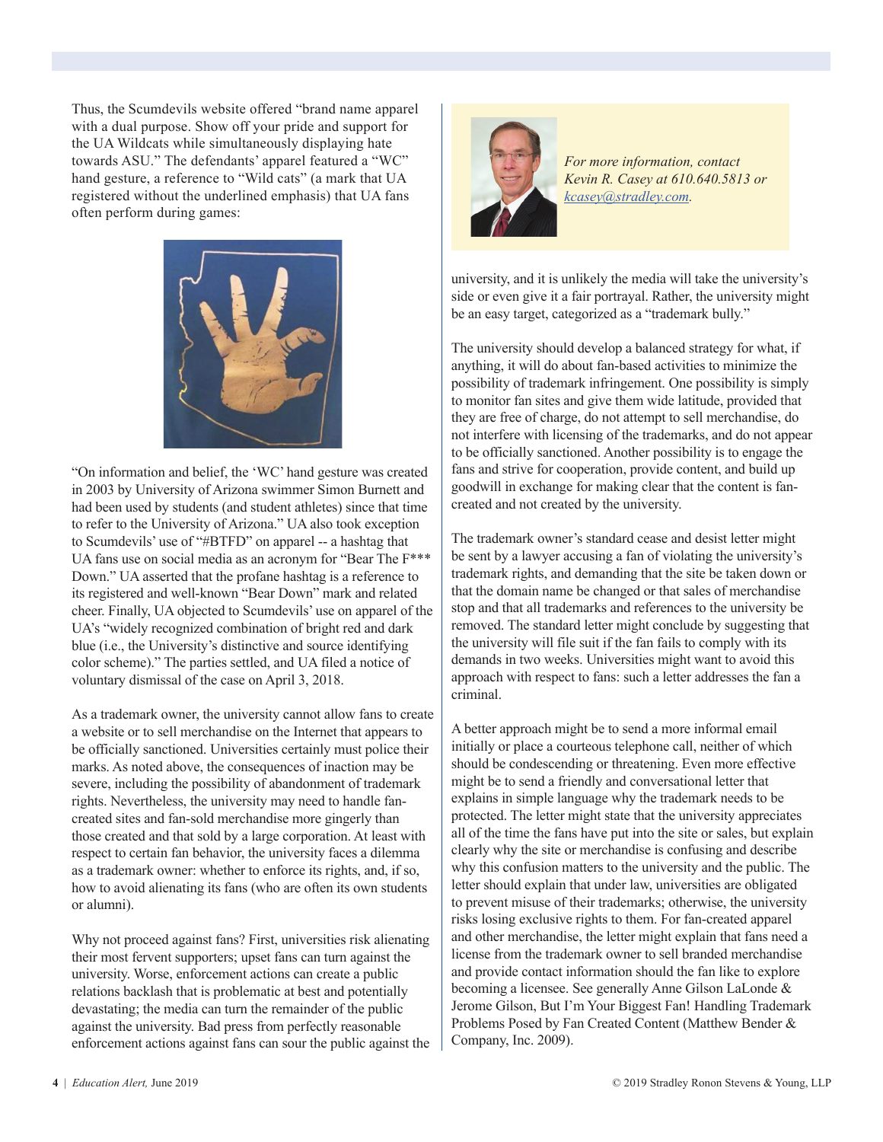Thus, the Scumdevils website offered "brand name apparel with a dual purpose. Show off your pride and support for the UA Wildcats while simultaneously displaying hate towards ASU." The defendants' apparel featured a "WC" hand gesture, a reference to "Wild cats" (a mark that UA registered without the underlined emphasis) that UA fans often perform during games:



"On information and belief, the 'WC' hand gesture was created in 2003 by University of Arizona swimmer Simon Burnett and had been used by students (and student athletes) since that time to refer to the University of Arizona." UA also took exception to Scumdevils' use of "#BTFD" on apparel -- a hashtag that UA fans use on social media as an acronym for "Bear The F\*\*\* Down." UA asserted that the profane hashtag is a reference to its registered and well-known "Bear Down" mark and related cheer. Finally, UA objected to Scumdevils' use on apparel of the UA's "widely recognized combination of bright red and dark blue (i.e., the University's distinctive and source identifying color scheme)." The parties settled, and UA filed a notice of voluntary dismissal of the case on April 3, 2018.

As a trademark owner, the university cannot allow fans to create a website or to sell merchandise on the Internet that appears to be officially sanctioned. Universities certainly must police their marks. As noted above, the consequences of inaction may be severe, including the possibility of abandonment of trademark rights. Nevertheless, the university may need to handle fancreated sites and fan-sold merchandise more gingerly than those created and that sold by a large corporation. At least with respect to certain fan behavior, the university faces a dilemma as a trademark owner: whether to enforce its rights, and, if so, how to avoid alienating its fans (who are often its own students or alumni).

Why not proceed against fans? First, universities risk alienating their most fervent supporters; upset fans can turn against the university. Worse, enforcement actions can create a public relations backlash that is problematic at best and potentially devastating; the media can turn the remainder of the public against the university. Bad press from perfectly reasonable enforcement actions against fans can sour the public against the



*For more information, contact Kevin R. Casey at 610.640.5813 or [kcasey@stradley.com](mailto:kcasey%40stradley.com%20?subject=).*

university, and it is unlikely the media will take the university's side or even give it a fair portrayal. Rather, the university might be an easy target, categorized as a "trademark bully."

The university should develop a balanced strategy for what, if anything, it will do about fan-based activities to minimize the possibility of trademark infringement. One possibility is simply to monitor fan sites and give them wide latitude, provided that they are free of charge, do not attempt to sell merchandise, do not interfere with licensing of the trademarks, and do not appear to be officially sanctioned. Another possibility is to engage the fans and strive for cooperation, provide content, and build up goodwill in exchange for making clear that the content is fancreated and not created by the university.

The trademark owner's standard cease and desist letter might be sent by a lawyer accusing a fan of violating the university's trademark rights, and demanding that the site be taken down or that the domain name be changed or that sales of merchandise stop and that all trademarks and references to the university be removed. The standard letter might conclude by suggesting that the university will file suit if the fan fails to comply with its demands in two weeks. Universities might want to avoid this approach with respect to fans: such a letter addresses the fan a criminal.

A better approach might be to send a more informal email initially or place a courteous telephone call, neither of which should be condescending or threatening. Even more effective might be to send a friendly and conversational letter that explains in simple language why the trademark needs to be protected. The letter might state that the university appreciates all of the time the fans have put into the site or sales, but explain clearly why the site or merchandise is confusing and describe why this confusion matters to the university and the public. The letter should explain that under law, universities are obligated to prevent misuse of their trademarks; otherwise, the university risks losing exclusive rights to them. For fan-created apparel and other merchandise, the letter might explain that fans need a license from the trademark owner to sell branded merchandise and provide contact information should the fan like to explore becoming a licensee. See generally Anne Gilson LaLonde & Jerome Gilson, But I'm Your Biggest Fan! Handling Trademark Problems Posed by Fan Created Content (Matthew Bender & Company, Inc. 2009).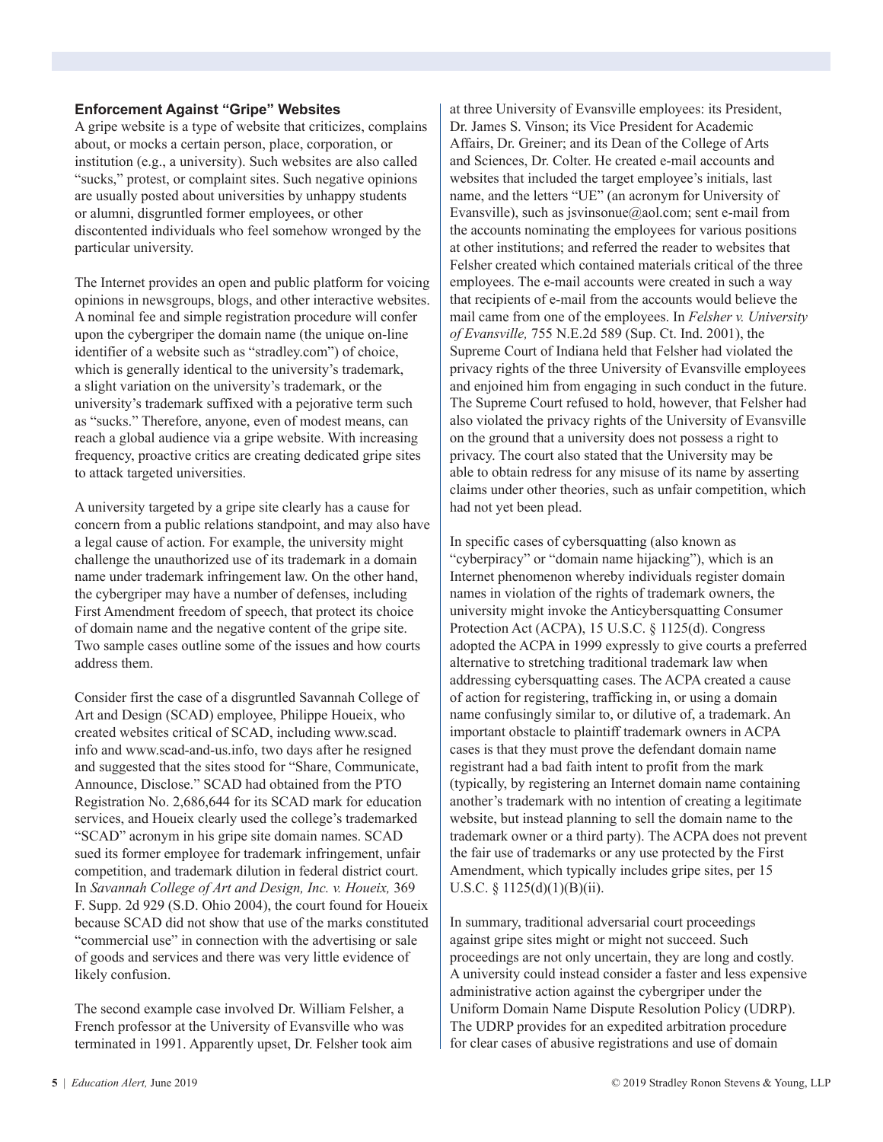#### **Enforcement Against "Gripe" Websites**

A gripe website is a type of website that criticizes, complains about, or mocks a certain person, place, corporation, or institution (e.g., a university). Such websites are also called "sucks," protest, or complaint sites. Such negative opinions are usually posted about universities by unhappy students or alumni, disgruntled former employees, or other discontented individuals who feel somehow wronged by the particular university.

The Internet provides an open and public platform for voicing opinions in newsgroups, blogs, and other interactive websites. A nominal fee and simple registration procedure will confer upon the cybergriper the domain name (the unique on-line identifier of a website such as "stradley.com") of choice, which is generally identical to the university's trademark, a slight variation on the university's trademark, or the university's trademark suffixed with a pejorative term such as "sucks." Therefore, anyone, even of modest means, can reach a global audience via a gripe website. With increasing frequency, proactive critics are creating dedicated gripe sites to attack targeted universities.

A university targeted by a gripe site clearly has a cause for concern from a public relations standpoint, and may also have a legal cause of action. For example, the university might challenge the unauthorized use of its trademark in a domain name under trademark infringement law. On the other hand, the cybergriper may have a number of defenses, including First Amendment freedom of speech, that protect its choice of domain name and the negative content of the gripe site. Two sample cases outline some of the issues and how courts address them.

Consider first the case of a disgruntled Savannah College of Art and Design (SCAD) employee, Philippe Houeix, who created websites critical of SCAD, including www.scad. info and www.scad-and-us.info, two days after he resigned and suggested that the sites stood for "Share, Communicate, Announce, Disclose." SCAD had obtained from the PTO Registration No. 2,686,644 for its SCAD mark for education services, and Houeix clearly used the college's trademarked "SCAD" acronym in his gripe site domain names. SCAD sued its former employee for trademark infringement, unfair competition, and trademark dilution in federal district court. In *Savannah College of Art and Design, Inc. v. Houeix,* 369 F. Supp. 2d 929 (S.D. Ohio 2004), the court found for Houeix because SCAD did not show that use of the marks constituted "commercial use" in connection with the advertising or sale of goods and services and there was very little evidence of likely confusion.

The second example case involved Dr. William Felsher, a French professor at the University of Evansville who was terminated in 1991. Apparently upset, Dr. Felsher took aim at three University of Evansville employees: its President, Dr. James S. Vinson; its Vice President for Academic Affairs, Dr. Greiner; and its Dean of the College of Arts and Sciences, Dr. Colter. He created e-mail accounts and websites that included the target employee's initials, last name, and the letters "UE" (an acronym for University of Evansville), such as jsvinsonue@aol.com; sent e-mail from the accounts nominating the employees for various positions at other institutions; and referred the reader to websites that Felsher created which contained materials critical of the three employees. The e-mail accounts were created in such a way that recipients of e-mail from the accounts would believe the mail came from one of the employees. In *Felsher v. University of Evansville,* 755 N.E.2d 589 (Sup. Ct. Ind. 2001), the Supreme Court of Indiana held that Felsher had violated the privacy rights of the three University of Evansville employees and enjoined him from engaging in such conduct in the future. The Supreme Court refused to hold, however, that Felsher had also violated the privacy rights of the University of Evansville on the ground that a university does not possess a right to privacy. The court also stated that the University may be able to obtain redress for any misuse of its name by asserting claims under other theories, such as unfair competition, which had not yet been plead.

In specific cases of cybersquatting (also known as "cyberpiracy" or "domain name hijacking"), which is an Internet phenomenon whereby individuals register domain names in violation of the rights of trademark owners, the university might invoke the Anticybersquatting Consumer Protection Act (ACPA), 15 U.S.C. § 1125(d). Congress adopted the ACPA in 1999 expressly to give courts a preferred alternative to stretching traditional trademark law when addressing cybersquatting cases. The ACPA created a cause of action for registering, trafficking in, or using a domain name confusingly similar to, or dilutive of, a trademark. An important obstacle to plaintiff trademark owners in ACPA cases is that they must prove the defendant domain name registrant had a bad faith intent to profit from the mark (typically, by registering an Internet domain name containing another's trademark with no intention of creating a legitimate website, but instead planning to sell the domain name to the trademark owner or a third party). The ACPA does not prevent the fair use of trademarks or any use protected by the First Amendment, which typically includes gripe sites, per 15 U.S.C. § 1125(d)(1)(B)(ii).

In summary, traditional adversarial court proceedings against gripe sites might or might not succeed. Such proceedings are not only uncertain, they are long and costly. A university could instead consider a faster and less expensive administrative action against the cybergriper under the Uniform Domain Name Dispute Resolution Policy (UDRP). The UDRP provides for an expedited arbitration procedure for clear cases of abusive registrations and use of domain